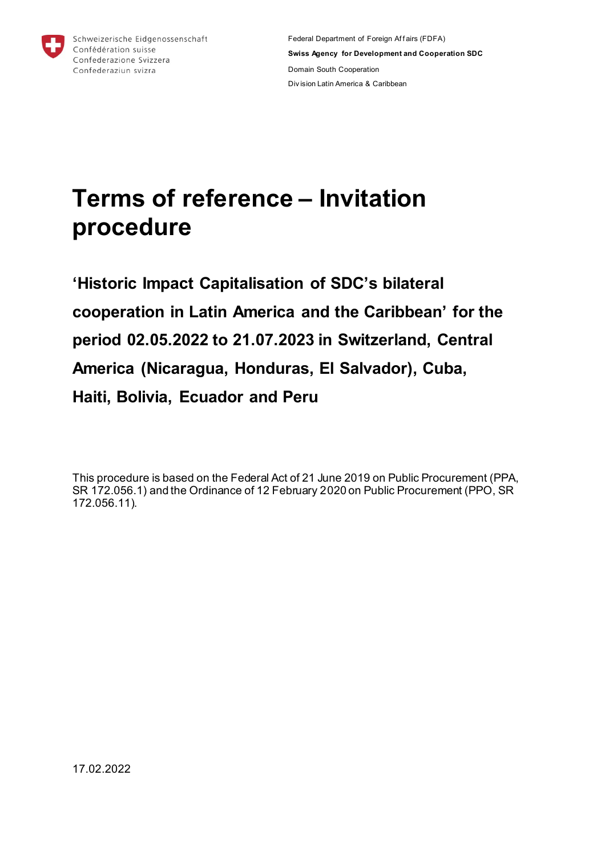

# **Terms of reference – Invitation procedure**

**'Historic Impact Capitalisation of SDC's bilateral cooperation in Latin America and the Caribbean' for the period 02.05.2022 to 21.07.2023 in Switzerland, Central America (Nicaragua, Honduras, El Salvador), Cuba, Haiti, Bolivia, Ecuador and Peru**

This procedure is based on the Federal Act of 21 June 2019 on Public Procurement (PPA, SR 172.056.1) and the Ordinance of 12 February 2020 on Public Procurement (PPO, SR 172.056.11).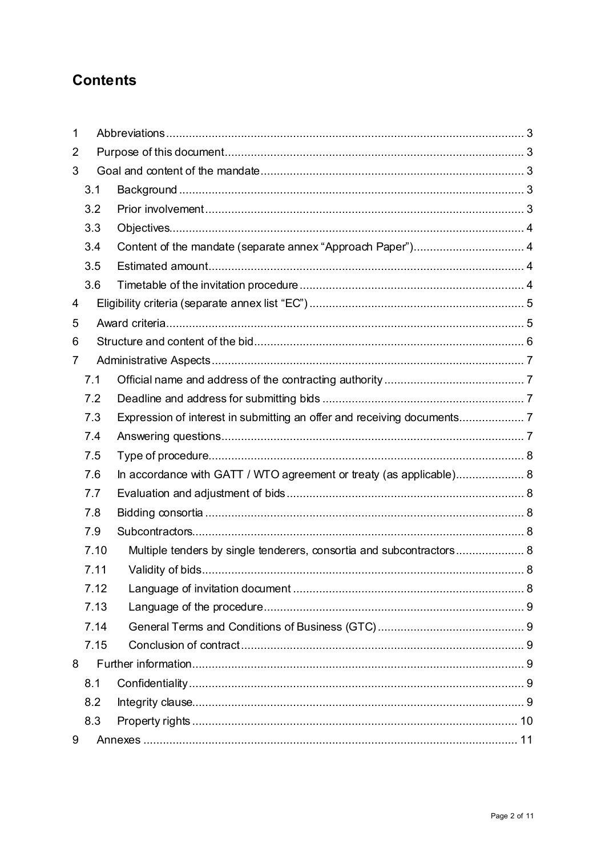# **Contents**

| 1 |      |                                                                      |  |  |
|---|------|----------------------------------------------------------------------|--|--|
| 2 |      |                                                                      |  |  |
| 3 |      |                                                                      |  |  |
|   | 3.1  |                                                                      |  |  |
|   | 3.2  |                                                                      |  |  |
|   | 3.3  |                                                                      |  |  |
|   | 3.4  | Content of the mandate (separate annex "Approach Paper") 4           |  |  |
|   | 3.5  |                                                                      |  |  |
|   | 3.6  |                                                                      |  |  |
| 4 |      |                                                                      |  |  |
| 5 |      |                                                                      |  |  |
| 6 |      |                                                                      |  |  |
| 7 |      |                                                                      |  |  |
|   | 7.1  |                                                                      |  |  |
|   | 7.2  |                                                                      |  |  |
|   | 7.3  |                                                                      |  |  |
|   | 7.4  |                                                                      |  |  |
|   | 7.5  |                                                                      |  |  |
|   | 7.6  | In accordance with GATT / WTO agreement or treaty (as applicable) 8  |  |  |
|   | 7.7  |                                                                      |  |  |
|   | 7.8  |                                                                      |  |  |
|   | 7.9  |                                                                      |  |  |
|   | 7.10 | Multiple tenders by single tenderers, consortia and subcontractors 8 |  |  |
|   | 7.11 |                                                                      |  |  |
|   | 7.12 |                                                                      |  |  |
|   | 7.13 |                                                                      |  |  |
|   | 7.14 |                                                                      |  |  |
|   | 7.15 |                                                                      |  |  |
| 8 |      |                                                                      |  |  |
|   | 8.1  |                                                                      |  |  |
|   | 8.2  |                                                                      |  |  |
|   | 8.3  |                                                                      |  |  |
| 9 |      |                                                                      |  |  |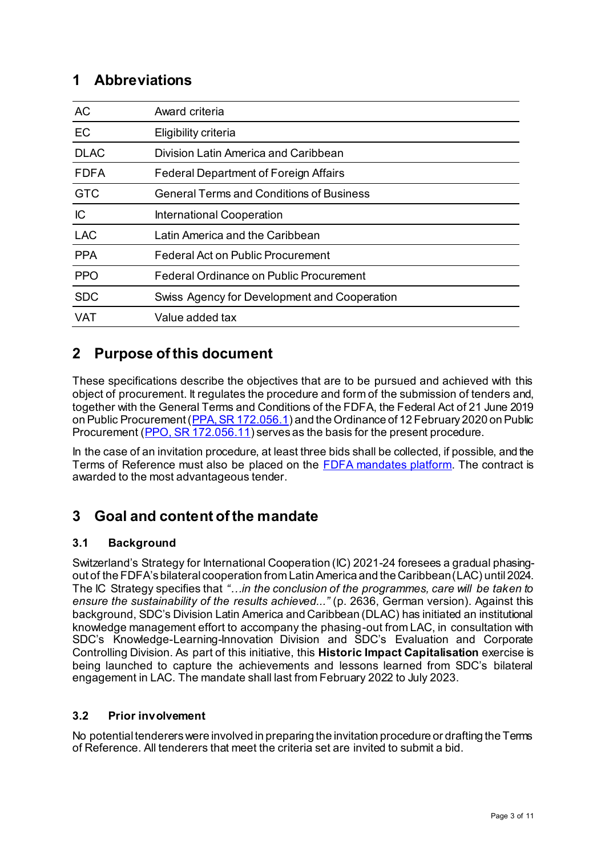# <span id="page-2-0"></span>**1 Abbreviations**

| AC          | Award criteria                                  |
|-------------|-------------------------------------------------|
| EC          | Eligibility criteria                            |
| <b>DLAC</b> | Division Latin America and Caribbean            |
| <b>FDFA</b> | <b>Federal Department of Foreign Affairs</b>    |
| <b>GTC</b>  | <b>General Terms and Conditions of Business</b> |
| IC          | <b>International Cooperation</b>                |
| <b>LAC</b>  | Latin America and the Caribbean                 |
| <b>PPA</b>  | <b>Federal Act on Public Procurement</b>        |
| <b>PPO</b>  | Federal Ordinance on Public Procurement         |
| <b>SDC</b>  | Swiss Agency for Development and Cooperation    |
| <b>VAT</b>  | Value added tax                                 |

# <span id="page-2-1"></span>**2 Purpose of this document**

These specifications describe the objectives that are to be pursued and achieved with this object of procurement. It regulates the procedure and form of the submission of tenders and, together with the General Terms and Conditions of the FDFA, the Federal Act of 21 June 2019 on Public Procurement [\(PPA, SR 172.056.1](https://www.fedlex.admin.ch/eli/cc/2020/126/en)) and the Ordinance of 12 February 2020 on Public Procurement (PPO, SR [172.056.11](https://www.fedlex.admin.ch/eli/cc/2020/127/en)) serves as the basis for the present procedure.

In the case of an invitation procedure, at least three bids shall be collected, if possible, and the Terms of Reference must also be placed on the [FDFA mandates platform.](https://www.eda.admin.ch/deza/en/home/partnerships-mandates/mandates-contributions/mandates/planned-mandates.html) The contract is awarded to the most advantageous tender.

# <span id="page-2-2"></span>**3 Goal and content of the mandate**

## <span id="page-2-3"></span>**3.1 Background**

Switzerland's Strategy for International Cooperation (IC) 2021-24 foresees a gradual phasingout of the FDFA's bilateral cooperation from Latin America and the Caribbean (LAC) until 2024. The IC Strategy specifies that *"…in the conclusion of the programmes, care will be taken to ensure the sustainability of the results achieved..."* (p. 2636, German version). Against this background, SDC's Division Latin America and Caribbean (DLAC) has initiated an institutional knowledge management effort to accompany the phasing-out from LAC, in consultation with SDC's Knowledge-Learning-Innovation Division and SDC's Evaluation and Corporate Controlling Division. As part of this initiative, this **Historic Impact Capitalisation** exercise is being launched to capture the achievements and lessons learned from SDC's bilateral engagement in LAC. The mandate shall last from February 2022 to July 2023.

## <span id="page-2-4"></span>**3.2 Prior involvement**

No potential tenderers were involved in preparing the invitation procedure or drafting the Terms of Reference. All tenderers that meet the criteria set are invited to submit a bid.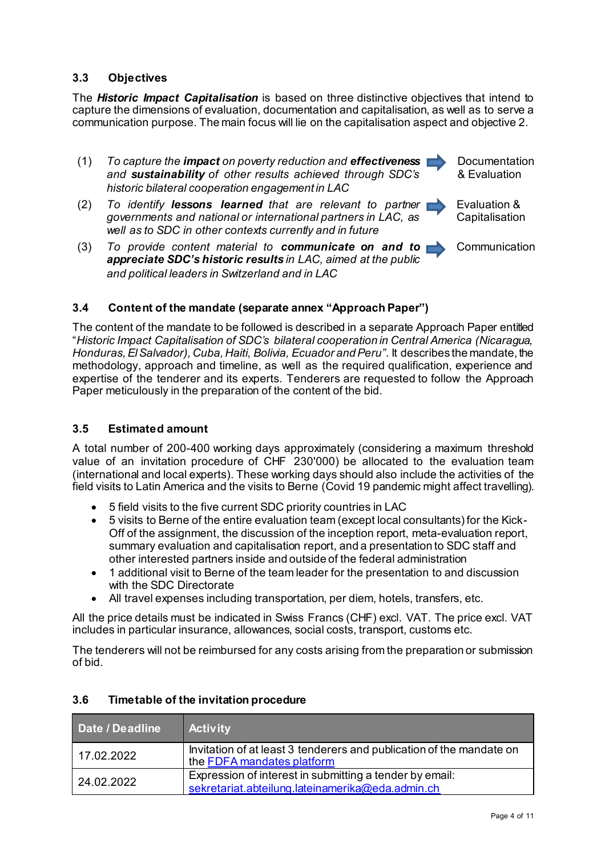## <span id="page-3-0"></span>**3.3 Objectives**

The *Historic Impact Capitalisation* is based on three distinctive objectives that intend to capture the dimensions of evaluation, documentation and capitalisation, as well as to serve a communication purpose. The main focus will lie on the capitalisation aspect and objective 2.

- (1) *To capture the impact on poverty reduction and effectiveness and sustainability of other results achieved through SDC's historic bilateral cooperation engagement in LAC*
- **Documentation** & Evaluation
- (2) *To identify lessons learned that are relevant to partner governments and national or international partners in LAC, as well as to SDC in other contexts currently and in future*
- **Capitalisation Communication**

Evaluation &

(3) *To provide content material to communicate on and to appreciate SDC's historic results in LAC, aimed at the public and political leaders in Switzerland and in LAC*

## <span id="page-3-1"></span>**3.4 Content of the mandate (separate annex "Approach Paper")**

The content of the mandate to be followed is described in a separate Approach Paper entitled "*Historic Impact Capitalisation of SDC's bilateral cooperation in Central America (Nicaragua, Honduras, El Salvador), Cuba, Haiti, Bolivia, Ecuador and Peru"*. It describes the mandate, the methodology, approach and timeline, as well as the required qualification, experience and expertise of the tenderer and its experts. Tenderers are requested to follow the Approach Paper meticulously in the preparation of the content of the bid.

#### <span id="page-3-2"></span>**3.5 Estimated amount**

A total number of 200-400 working days approximately (considering a maximum threshold value of an invitation procedure of CHF 230'000) be allocated to the evaluation team (international and local experts). These working days should also include the activities of the field visits to Latin America and the visits to Berne (Covid 19 pandemic might affect travelling).

- 5 field visits to the five current SDC priority countries in LAC
- 5 visits to Berne of the entire evaluation team (except local consultants) for the Kick-Off of the assignment, the discussion of the inception report, meta-evaluation report, summary evaluation and capitalisation report, and a presentation to SDC staff and other interested partners inside and outside of the federal administration
- 1 additional visit to Berne of the team leader for the presentation to and discussion with the SDC Directorate
- All travel expenses including transportation, per diem, hotels, transfers, etc.

All the price details must be indicated in Swiss Francs (CHF) excl. VAT. The price excl. VAT includes in particular insurance, allowances, social costs, transport, customs etc.

The tenderers will not be reimbursed for any costs arising from the preparation or submission of bid.

| Date / Deadline | <b>Activity</b>                                                                                             |
|-----------------|-------------------------------------------------------------------------------------------------------------|
| 17.02.2022      | Invitation of at least 3 tenderers and publication of the mandate on<br>the FDFA mandates platform          |
| 24.02.2022      | Expression of interest in submitting a tender by email:<br>sekretariat.abteilung.lateinamerika@eda.admin.ch |

#### <span id="page-3-3"></span>**3.6 Timetable of the invitation procedure**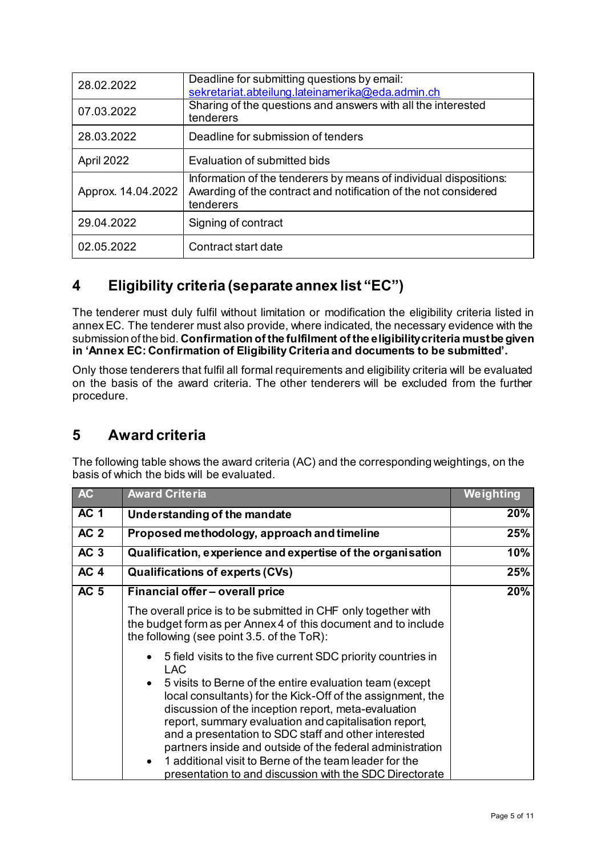| 28.02.2022         | Deadline for submitting questions by email:<br>sekretariat.abteilung.lateinamerika@eda.admin.ch                                                   |
|--------------------|---------------------------------------------------------------------------------------------------------------------------------------------------|
| 07.03.2022         | Sharing of the questions and answers with all the interested<br>tenderers                                                                         |
| 28.03.2022         | Deadline for submission of tenders                                                                                                                |
| April 2022         | Evaluation of submitted bids                                                                                                                      |
| Approx. 14.04.2022 | Information of the tenderers by means of individual dispositions:<br>Awarding of the contract and notification of the not considered<br>tenderers |
| 29.04.2022         | Signing of contract                                                                                                                               |
| 02.05.2022         | Contract start date                                                                                                                               |

# <span id="page-4-0"></span>**4 Eligibility criteria (separate annex list "EC")**

The tenderer must duly fulfil without limitation or modification the eligibility criteria listed in annex EC. The tenderer must also provide, where indicated, the necessary evidence with the submission of the bid. **Confirmation of the fulfilment of the eligibility criteria must be given in 'Annex EC: Confirmation of Eligibility Criteria and documents to be submitted'.**

Only those tenderers that fulfil all formal requirements and eligibility criteria will be evaluated on the basis of the award criteria. The other tenderers will be excluded from the further procedure.

# <span id="page-4-1"></span>**5 Award criteria**

The following table shows the award criteria (AC) and the corresponding weightings, on the basis of which the bids will be evaluated.

| AC              | <b>Award Criteria</b>                                                                                                                                                                                                                                                                                                                                                                                                                                                                                                                                                                          | Weighting |
|-----------------|------------------------------------------------------------------------------------------------------------------------------------------------------------------------------------------------------------------------------------------------------------------------------------------------------------------------------------------------------------------------------------------------------------------------------------------------------------------------------------------------------------------------------------------------------------------------------------------------|-----------|
| <b>AC 1</b>     | Understanding of the mandate                                                                                                                                                                                                                                                                                                                                                                                                                                                                                                                                                                   | 20%       |
| AC <sub>2</sub> | Proposed methodology, approach and timeline                                                                                                                                                                                                                                                                                                                                                                                                                                                                                                                                                    | 25%       |
| AC <sub>3</sub> | Qualification, experience and expertise of the organisation                                                                                                                                                                                                                                                                                                                                                                                                                                                                                                                                    | 10%       |
| AC <sub>4</sub> | Qualifications of experts (CVs)                                                                                                                                                                                                                                                                                                                                                                                                                                                                                                                                                                | 25%       |
| AC <sub>5</sub> | Financial offer - overall price                                                                                                                                                                                                                                                                                                                                                                                                                                                                                                                                                                | 20%       |
|                 | The overall price is to be submitted in CHF only together with<br>the budget form as per Annex 4 of this document and to include<br>the following (see point 3.5. of the ToR):                                                                                                                                                                                                                                                                                                                                                                                                                 |           |
|                 | 5 field visits to the five current SDC priority countries in<br>$\bullet$<br>LAC.<br>5 visits to Berne of the entire evaluation team (except<br>$\bullet$<br>local consultants) for the Kick-Off of the assignment, the<br>discussion of the inception report, meta-evaluation<br>report, summary evaluation and capitalisation report,<br>and a presentation to SDC staff and other interested<br>partners inside and outside of the federal administration<br>1 additional visit to Berne of the team leader for the<br>$\bullet$<br>presentation to and discussion with the SDC Directorate |           |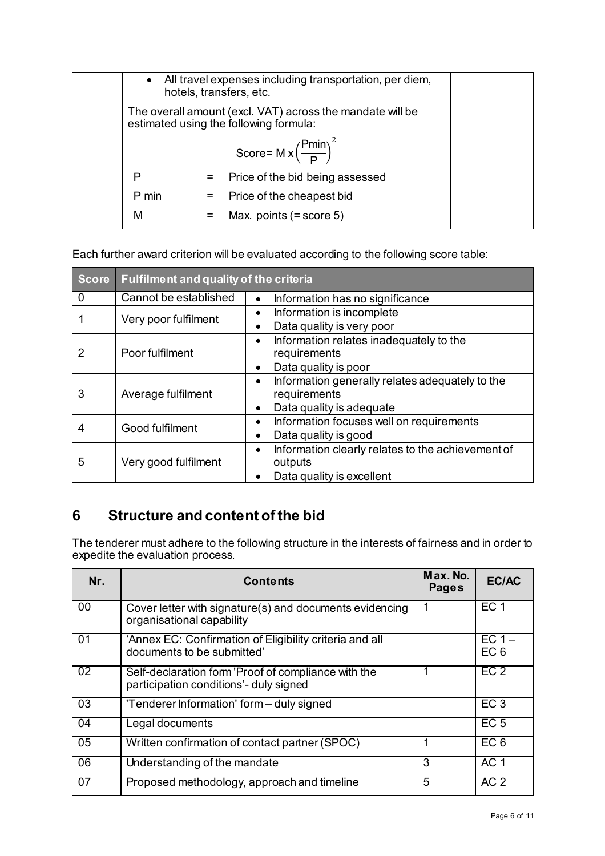|       | hotels, transfers, etc. | • All travel expenses including transportation, per diem,                                           |  |
|-------|-------------------------|-----------------------------------------------------------------------------------------------------|--|
|       |                         | The overall amount (excl. VAT) across the mandate will be<br>estimated using the following formula: |  |
|       |                         | Score= M $x\left(\frac{Pmin}{P}\right)^2$                                                           |  |
| Ρ     |                         | = Price of the bid being assessed                                                                   |  |
| P min |                         | $=$ Price of the cheapest bid                                                                       |  |
| M     |                         | $=$ Max. points (= score 5)                                                                         |  |

Each further award criterion will be evaluated according to the following score table:

| <b>Score</b> | Fulfilment and quality of the criteria |                                                                |  |
|--------------|----------------------------------------|----------------------------------------------------------------|--|
| $\mathbf 0$  | Cannot be established                  | Information has no significance<br>$\bullet$                   |  |
|              | Very poor fulfilment                   | Information is incomplete<br>$\bullet$                         |  |
|              |                                        | Data quality is very poor                                      |  |
|              |                                        | Information relates inadequately to the<br>$\bullet$           |  |
| 2            | Poor fulfilment                        | requirements                                                   |  |
|              |                                        | Data quality is poor                                           |  |
|              |                                        | Information generally relates adequately to the                |  |
| 3            | Average fulfilment                     | requirements                                                   |  |
|              |                                        | Data quality is adequate                                       |  |
| 4            | Good fulfilment                        | Information focuses well on requirements                       |  |
|              |                                        | Data quality is good                                           |  |
|              |                                        | Information clearly relates to the achievement of<br>$\bullet$ |  |
| 5            | Very good fulfilment                   | outputs                                                        |  |
|              |                                        | Data quality is excellent                                      |  |

# <span id="page-5-0"></span>**6 Structure and content of the bid**

The tenderer must adhere to the following structure in the interests of fairness and in order to expedite the evaluation process.

| Nr. | <b>Contents</b>                                                                               | Max. No.<br><b>Pages</b> | EC/AC                       |
|-----|-----------------------------------------------------------------------------------------------|--------------------------|-----------------------------|
| 00  | Cover letter with signature(s) and documents evidencing<br>organisational capability          |                          | EC <sub>1</sub>             |
| 01  | 'Annex EC: Confirmation of Eligibility criteria and all<br>documents to be submitted'         |                          | $EC 1 -$<br>EC <sub>6</sub> |
| 02  | Self-declaration form 'Proof of compliance with the<br>participation conditions'- duly signed |                          | EC <sub>2</sub>             |
| 03  | 'Tenderer Information' form - duly signed                                                     |                          | EC <sub>3</sub>             |
| 04  | Legal documents                                                                               |                          | EC <sub>5</sub>             |
| 05  | Written confirmation of contact partner (SPOC)                                                |                          | EC <sub>6</sub>             |
| 06  | Understanding of the mandate                                                                  | 3                        | AC <sub>1</sub>             |
| 07  | Proposed methodology, approach and timeline                                                   | 5                        | AC <sub>2</sub>             |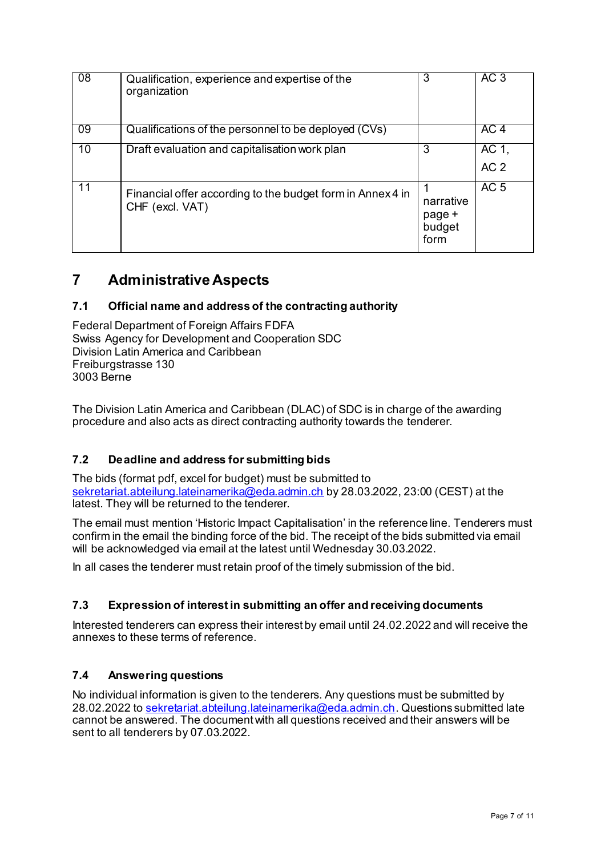| $\overline{08}$ | Qualification, experience and expertise of the<br>organization                | 3                                     | AC <sub>3</sub>          |
|-----------------|-------------------------------------------------------------------------------|---------------------------------------|--------------------------|
| 09              | Qualifications of the personnel to be deployed (CVs)                          |                                       | AC <sub>4</sub>          |
| 10              | Draft evaluation and capitalisation work plan                                 | 3                                     | AC 1,<br>AC <sub>2</sub> |
| 11              | Financial offer according to the budget form in Annex 4 in<br>CHF (excl. VAT) | narrative<br>page +<br>budget<br>form | AC <sub>5</sub>          |

# <span id="page-6-0"></span>**7 Administrative Aspects**

## <span id="page-6-1"></span>**7.1 Official name and address of the contracting authority**

Federal Department of Foreign Affairs FDFA Swiss Agency for Development and Cooperation SDC Division Latin America and Caribbean Freiburgstrasse 130 3003 Berne

The Division Latin America and Caribbean (DLAC) of SDC is in charge of the awarding procedure and also acts as direct contracting authority towards the tenderer.

## <span id="page-6-2"></span>**7.2 Deadline and address for submitting bids**

The bids (format pdf, excel for budget) must be submitted to [sekretariat.abteilung.lateinamerika@eda.admin.ch](mailto:sekretariat.abteilung.lateinamerika@eda.admin.ch) by 28.03.2022, 23:00 (CEST) at the latest. They will be returned to the tenderer.

The email must mention 'Historic Impact Capitalisation' in the reference line. Tenderers must confirm in the email the binding force of the bid. The receipt of the bids submitted via email will be acknowledged via email at the latest until Wednesday 30.03.2022.

In all cases the tenderer must retain proof of the timely submission of the bid.

#### <span id="page-6-3"></span>**7.3 Expression of interest in submitting an offer and receiving documents**

Interested tenderers can express their interest by email until 24.02.2022 and will receive the annexes to these terms of reference.

#### <span id="page-6-4"></span>**7.4 Answering questions**

No individual information is given to the tenderers. Any questions must be submitted by 28.02.2022 t[o sekretariat.abteilung.lateinamerika@eda.admin.ch](mailto:sekretariat.abteilung.lateinamerika@eda.admin.ch). Questions submitted late cannot be answered. The document with all questions received and their answers will be sent to all tenderers by 07.03.2022.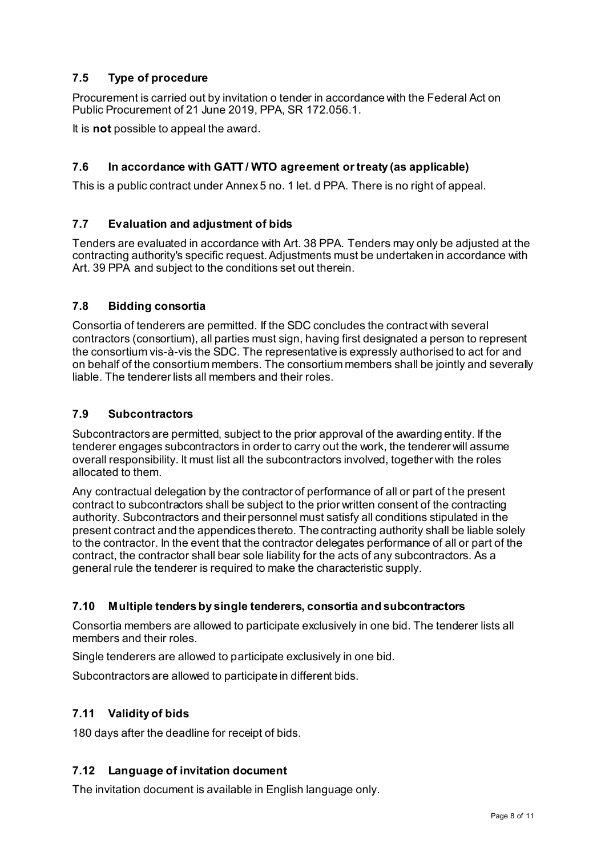# <span id="page-7-0"></span>**7.5 Type of procedure**

Procurement is carried out by invitation o tender in accordance with the Federal Act on Public Procurement of 21 June 2019, PPA, SR 172.056.1.

It is **not** possible to appeal the award.

## <span id="page-7-1"></span>**7.6 In accordance with GATT / WTO agreement or treaty (as applicable)**

This is a public contract under Annex 5 no. 1 let. d PPA. There is no right of appeal.

## <span id="page-7-2"></span>**7.7 Evaluation and adjustment of bids**

Tenders are evaluated in accordance with Art. 38 PPA. Tenders may only be adjusted at the contracting authority's specific request. Adjustments must be undertaken in accordance with Art. 39 PPA and subject to the conditions set out therein.

#### <span id="page-7-3"></span>**7.8 Bidding consortia**

Consortia of tenderers are permitted. If the SDC concludes the contract with several contractors (consortium), all parties must sign, having first designated a person to represent the consortium vis-à-vis the SDC. The representative is expressly authorised to act for and on behalf of the consortium members. The consortium members shall be jointly and severally liable. The tenderer lists all members and their roles.

#### <span id="page-7-4"></span>**7.9 Subcontractors**

Subcontractors are permitted, subject to the prior approval of the awarding entity. If the tenderer engages subcontractors in order to carry out the work, the tenderer will assume overall responsibility. It must list all the subcontractors involved, together with the roles allocated to them.

Any contractual delegation by the contractor of performance of all or part of the present contract to subcontractors shall be subject to the prior written consent of the contracting authority. Subcontractors and their personnel must satisfy all conditions stipulated in the present contract and the appendices thereto. The contracting authority shall be liable solely to the contractor. In the event that the contractor delegates performance of all or part of the contract, the contractor shall bear sole liability for the acts of any subcontractors. As a general rule the tenderer is required to make the characteristic supply.

#### <span id="page-7-5"></span>**7.10 Multiple tenders by single tenderers, consortia and subcontractors**

Consortia members are allowed to participate exclusively in one bid. The tenderer lists all members and their roles.

Single tenderers are allowed to participate exclusively in one bid.

Subcontractors are allowed to participate in different bids.

## <span id="page-7-6"></span>**7.11 Validity of bids**

180 days after the deadline for receipt of bids.

#### <span id="page-7-7"></span>**7.12 Language of invitation document**

The invitation document is available in English language only.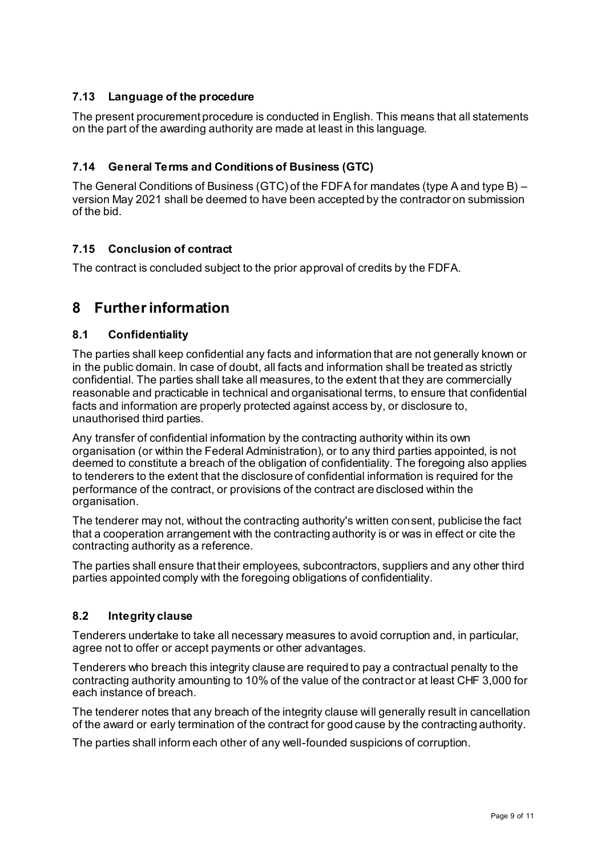## <span id="page-8-0"></span>**7.13 Language of the procedure**

The present procurement procedure is conducted in English. This means that all statements on the part of the awarding authority are made at least in this language.

## <span id="page-8-1"></span>**7.14 General Terms and Conditions of Business (GTC)**

The General Conditions of Business (GTC) of the FDFA for mandates (type A and type B) – version May 2021 shall be deemed to have been accepted by the contractor on submission of the bid.

## <span id="page-8-2"></span>**7.15 Conclusion of contract**

The contract is concluded subject to the prior approval of credits by the FDFA.

# <span id="page-8-3"></span>**8 Further information**

#### <span id="page-8-4"></span>**8.1 Confidentiality**

The parties shall keep confidential any facts and information that are not generally known or in the public domain. In case of doubt, all facts and information shall be treated as strictly confidential. The parties shall take all measures, to the extent that they are commercially reasonable and practicable in technical and organisational terms, to ensure that confidential facts and information are properly protected against access by, or disclosure to, unauthorised third parties.

Any transfer of confidential information by the contracting authority within its own organisation (or within the Federal Administration), or to any third parties appointed, is not deemed to constitute a breach of the obligation of confidentiality. The foregoing also applies to tenderers to the extent that the disclosure of confidential information is required for the performance of the contract, or provisions of the contract are disclosed within the organisation.

The tenderer may not, without the contracting authority's written consent, publicise the fact that a cooperation arrangement with the contracting authority is or was in effect or cite the contracting authority as a reference.

The parties shall ensure that their employees, subcontractors, suppliers and any other third parties appointed comply with the foregoing obligations of confidentiality.

#### <span id="page-8-5"></span>**8.2 Integrity clause**

Tenderers undertake to take all necessary measures to avoid corruption and, in particular, agree not to offer or accept payments or other advantages.

Tenderers who breach this integrity clause are required to pay a contractual penalty to the contracting authority amounting to 10% of the value of the contract or at least CHF 3,000 for each instance of breach.

The tenderer notes that any breach of the integrity clause will generally result in cancellation of the award or early termination of the contract for good cause by the contracting authority.

The parties shall inform each other of any well-founded suspicions of corruption.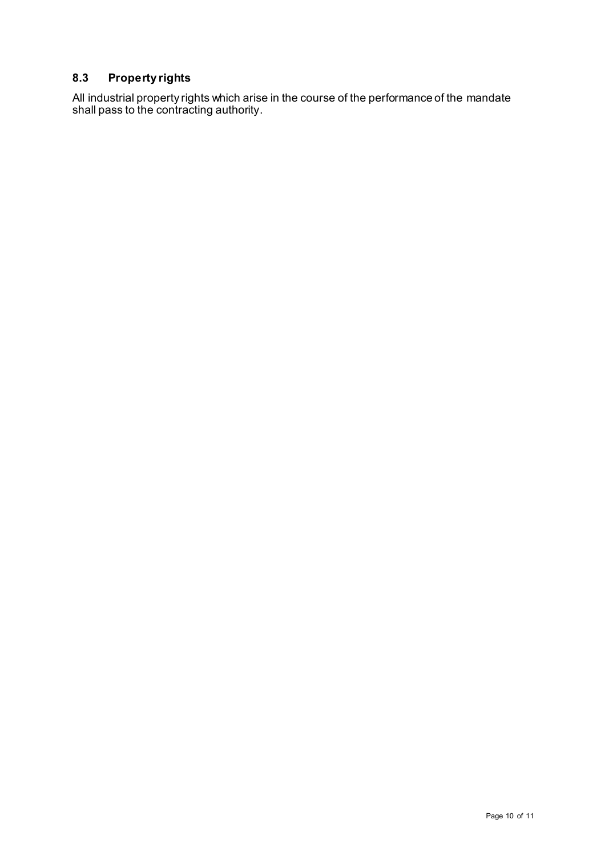# <span id="page-9-0"></span>**8.3 Property rights**

All industrial property rights which arise in the course of the performance of the mandate shall pass to the contracting authority.